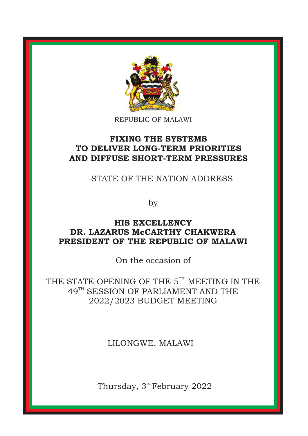

REPUBLIC OF MALAWI

# **FIXING THE SYSTEMS TO DELIVER LONG-TERM PRIORITIES AND DIFFUSE SHORT-TERM PRESSURES**

STATE OF THE NATION ADDRESS

by

# **HIS EXCELLENCY DR. LAZARUS McCARTHY CHAKWERA PRESIDENT OF THE REPUBLIC OF MALAWI**

On the occasion of

THE STATE OPENING OF THE  $5<sup>TH</sup>$  MEETING IN THE 49<sup>TH</sup> SESSION OF PARLIAMENT AND THE 2022/2023 BUDGET MEETING

LILONGWE, MALAWI

Thursday, 3<sup>rd</sup> February 2022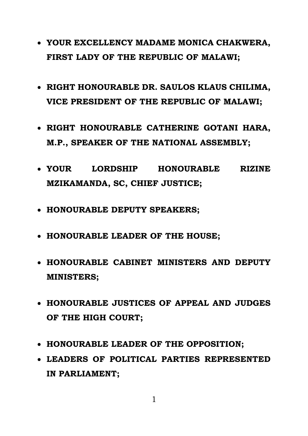- **YOUR EXCELLENCY MADAME MONICA CHAKWERA, FIRST LADY OF THE REPUBLIC OF MALAWI;**
- **RIGHT HONOURABLE DR. SAULOS KLAUS CHILIMA, VICE PRESIDENT OF THE REPUBLIC OF MALAWI;**
- **RIGHT HONOURABLE CATHERINE GOTANI HARA, M.P., SPEAKER OF THE NATIONAL ASSEMBLY;**
- **YOUR LORDSHIP HONOURABLE RIZINE MZIKAMANDA, SC, CHIEF JUSTICE;**
- **HONOURABLE DEPUTY SPEAKERS;**
- **HONOURABLE LEADER OF THE HOUSE;**
- **HONOURABLE CABINET MINISTERS AND DEPUTY MINISTERS;**
- **HONOURABLE JUSTICES OF APPEAL AND JUDGES OF THE HIGH COURT;**
- **HONOURABLE LEADER OF THE OPPOSITION;**
- **LEADERS OF POLITICAL PARTIES REPRESENTED IN PARLIAMENT;**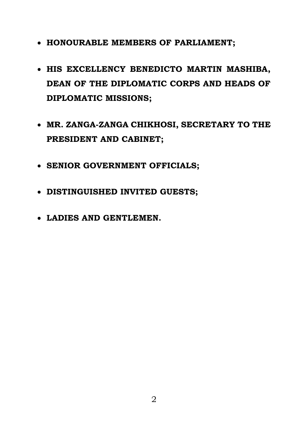- **HONOURABLE MEMBERS OF PARLIAMENT;**
- **HIS EXCELLENCY BENEDICTO MARTIN MASHIBA, DEAN OF THE DIPLOMATIC CORPS AND HEADS OF DIPLOMATIC MISSIONS;**
- **MR. ZANGA-ZANGA CHIKHOSI, SECRETARY TO THE PRESIDENT AND CABINET;**
- **SENIOR GOVERNMENT OFFICIALS;**
- **DISTINGUISHED INVITED GUESTS;**
- **LADIES AND GENTLEMEN.**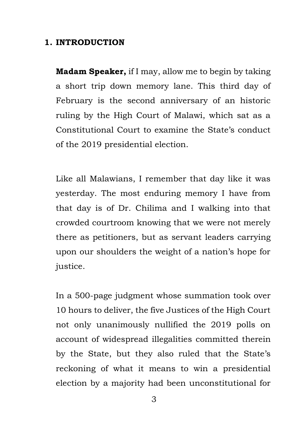## **1. INTRODUCTION**

**Madam Speaker,** if I may, allow me to begin by taking a short trip down memory lane. This third day of February is the second anniversary of an historic ruling by the High Court of Malawi, which sat as a Constitutional Court to examine the State's conduct of the 2019 presidential election.

Like all Malawians, I remember that day like it was yesterday. The most enduring memory I have from that day is of Dr. Chilima and I walking into that crowded courtroom knowing that we were not merely there as petitioners, but as servant leaders carrying upon our shoulders the weight of a nation's hope for justice.

In a 500-page judgment whose summation took over 10 hours to deliver, the five Justices of the High Court not only unanimously nullified the 2019 polls on account of widespread illegalities committed therein by the State, but they also ruled that the State's reckoning of what it means to win a presidential election by a majority had been unconstitutional for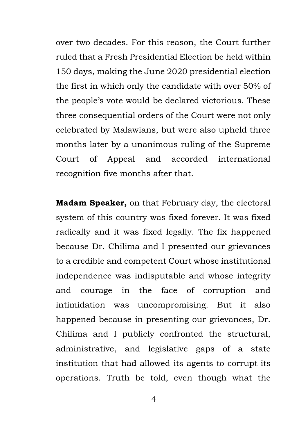over two decades. For this reason, the Court further ruled that a Fresh Presidential Election be held within 150 days, making the June 2020 presidential election the first in which only the candidate with over 50% of the people's vote would be declared victorious. These three consequential orders of the Court were not only celebrated by Malawians, but were also upheld three months later by a unanimous ruling of the Supreme Court of Appeal and accorded international recognition five months after that.

**Madam Speaker,** on that February day, the electoral system of this country was fixed forever. It was fixed radically and it was fixed legally. The fix happened because Dr. Chilima and I presented our grievances to a credible and competent Court whose institutional independence was indisputable and whose integrity and courage in the face of corruption and intimidation was uncompromising. But it also happened because in presenting our grievances, Dr. Chilima and I publicly confronted the structural, administrative, and legislative gaps of a state institution that had allowed its agents to corrupt its operations. Truth be told, even though what the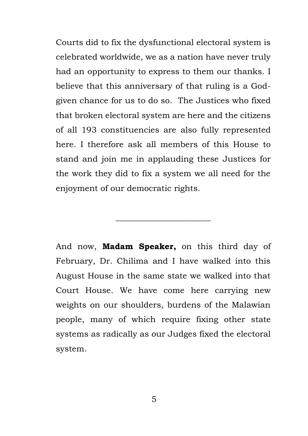Courts did to fix the dysfunctional electoral system is celebrated worldwide, we as a nation have never truly had an opportunity to express to them our thanks. I believe that this anniversary of that ruling is a Godgiven chance for us to do so. The Justices who fixed that broken electoral system are here and the citizens of all 193 constituencies are also fully represented here. I therefore ask all members of this House to stand and join me in applauding these Justices for the work they did to fix a system we all need for the enjoyment of our democratic rights.

And now, **Madam Speaker,** on this third day of February, Dr. Chilima and I have walked into this August House in the same state we walked into that Court House. We have come here carrying new weights on our shoulders, burdens of the Malawian people, many of which require fixing other state systems as radically as our Judges fixed the electoral system.

\_\_\_\_\_\_\_\_\_\_\_\_\_\_\_\_\_\_\_\_\_\_\_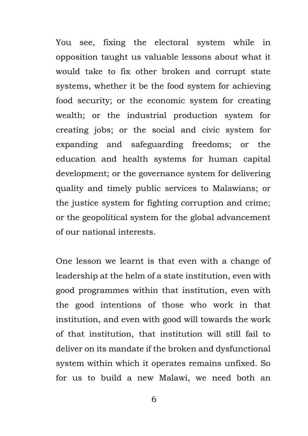You see, fixing the electoral system while in opposition taught us valuable lessons about what it would take to fix other broken and corrupt state systems, whether it be the food system for achieving food security; or the economic system for creating wealth; or the industrial production system for creating jobs; or the social and civic system for expanding and safeguarding freedoms; or the education and health systems for human capital development; or the governance system for delivering quality and timely public services to Malawians; or the justice system for fighting corruption and crime; or the geopolitical system for the global advancement of our national interests.

One lesson we learnt is that even with a change of leadership at the helm of a state institution, even with good programmes within that institution, even with the good intentions of those who work in that institution, and even with good will towards the work of that institution, that institution will still fail to deliver on its mandate if the broken and dysfunctional system within which it operates remains unfixed. So for us to build a new Malawi, we need both an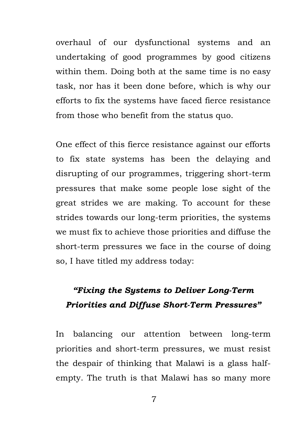overhaul of our dysfunctional systems and an undertaking of good programmes by good citizens within them. Doing both at the same time is no easy task, nor has it been done before, which is why our efforts to fix the systems have faced fierce resistance from those who benefit from the status quo.

One effect of this fierce resistance against our efforts to fix state systems has been the delaying and disrupting of our programmes, triggering short-term pressures that make some people lose sight of the great strides we are making. To account for these strides towards our long-term priorities, the systems we must fix to achieve those priorities and diffuse the short-term pressures we face in the course of doing so, I have titled my address today:

# *"Fixing the Systems to Deliver Long-Term Priorities and Diffuse Short-Term Pressures"*

In balancing our attention between long-term priorities and short-term pressures, we must resist the despair of thinking that Malawi is a glass halfempty. The truth is that Malawi has so many more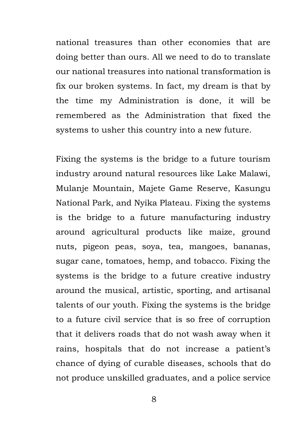national treasures than other economies that are doing better than ours. All we need to do to translate our national treasures into national transformation is fix our broken systems. In fact, my dream is that by the time my Administration is done, it will be remembered as the Administration that fixed the systems to usher this country into a new future.

Fixing the systems is the bridge to a future tourism industry around natural resources like Lake Malawi, Mulanje Mountain, Majete Game Reserve, Kasungu National Park, and Nyika Plateau. Fixing the systems is the bridge to a future manufacturing industry around agricultural products like maize, ground nuts, pigeon peas, soya, tea, mangoes, bananas, sugar cane, tomatoes, hemp, and tobacco. Fixing the systems is the bridge to a future creative industry around the musical, artistic, sporting, and artisanal talents of our youth. Fixing the systems is the bridge to a future civil service that is so free of corruption that it delivers roads that do not wash away when it rains, hospitals that do not increase a patient's chance of dying of curable diseases, schools that do not produce unskilled graduates, and a police service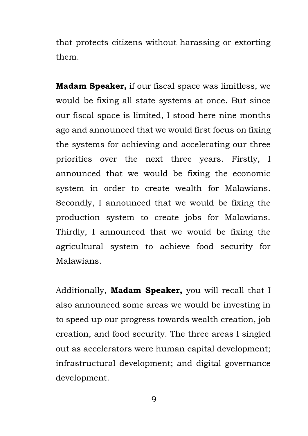that protects citizens without harassing or extorting them.

**Madam Speaker,** if our fiscal space was limitless, we would be fixing all state systems at once. But since our fiscal space is limited, I stood here nine months ago and announced that we would first focus on fixing the systems for achieving and accelerating our three priorities over the next three years. Firstly, I announced that we would be fixing the economic system in order to create wealth for Malawians. Secondly, I announced that we would be fixing the production system to create jobs for Malawians. Thirdly, I announced that we would be fixing the agricultural system to achieve food security for Malawians.

Additionally, **Madam Speaker,** you will recall that I also announced some areas we would be investing in to speed up our progress towards wealth creation, job creation, and food security. The three areas I singled out as accelerators were human capital development; infrastructural development; and digital governance development.

9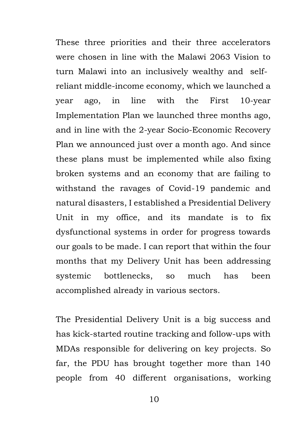These three priorities and their three accelerators were chosen in line with the Malawi 2063 Vision to turn Malawi into an inclusively wealthy and selfreliant middle-income economy, which we launched a year ago, in line with the First 10-year Implementation Plan we launched three months ago, and in line with the 2-year Socio-Economic Recovery Plan we announced just over a month ago. And since these plans must be implemented while also fixing broken systems and an economy that are failing to withstand the ravages of Covid-19 pandemic and natural disasters, I established a Presidential Delivery Unit in my office, and its mandate is to fix dysfunctional systems in order for progress towards our goals to be made. I can report that within the four months that my Delivery Unit has been addressing systemic bottlenecks, so much has been accomplished already in various sectors.

The Presidential Delivery Unit is a big success and has kick-started routine tracking and follow-ups with MDAs responsible for delivering on key projects. So far, the PDU has brought together more than 140 people from 40 different organisations, working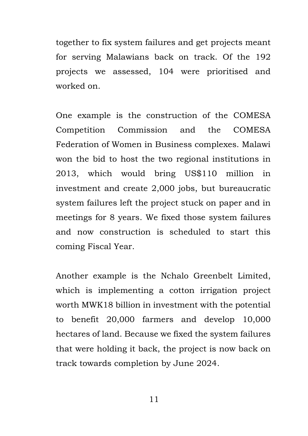together to fix system failures and get projects meant for serving Malawians back on track. Of the 192 projects we assessed, 104 were prioritised and worked on.

One example is the construction of the COMESA Competition Commission and the COMESA Federation of Women in Business complexes. Malawi won the bid to host the two regional institutions in 2013, which would bring US\$110 million in investment and create 2,000 jobs, but bureaucratic system failures left the project stuck on paper and in meetings for 8 years. We fixed those system failures and now construction is scheduled to start this coming Fiscal Year.

Another example is the Nchalo Greenbelt Limited, which is implementing a cotton irrigation project worth MWK18 billion in investment with the potential to benefit 20,000 farmers and develop 10,000 hectares of land. Because we fixed the system failures that were holding it back, the project is now back on track towards completion by June 2024.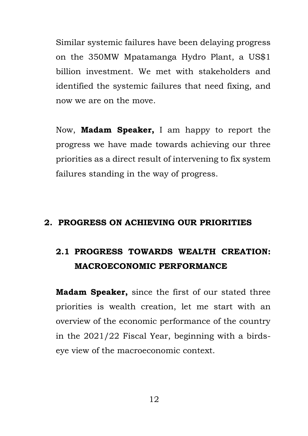Similar systemic failures have been delaying progress on the 350MW Mpatamanga Hydro Plant, a US\$1 billion investment. We met with stakeholders and identified the systemic failures that need fixing, and now we are on the move.

Now, **Madam Speaker,** I am happy to report the progress we have made towards achieving our three priorities as a direct result of intervening to fix system failures standing in the way of progress.

## **2. PROGRESS ON ACHIEVING OUR PRIORITIES**

# **2.1 PROGRESS TOWARDS WEALTH CREATION: MACROECONOMIC PERFORMANCE**

**Madam Speaker,** since the first of our stated three priorities is wealth creation, let me start with an overview of the economic performance of the country in the 2021/22 Fiscal Year, beginning with a birdseye view of the macroeconomic context.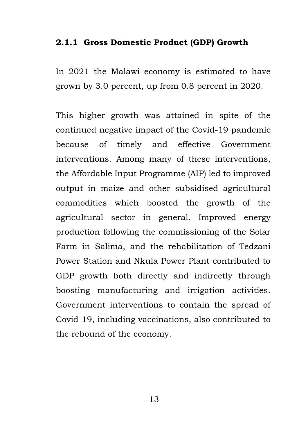## **2.1.1 Gross Domestic Product (GDP) Growth**

In 2021 the Malawi economy is estimated to have grown by 3.0 percent, up from 0.8 percent in 2020.

This higher growth was attained in spite of the continued negative impact of the Covid-19 pandemic because of timely and effective Government interventions. Among many of these interventions, the Affordable Input Programme (AIP) led to improved output in maize and other subsidised agricultural commodities which boosted the growth of the agricultural sector in general. Improved energy production following the commissioning of the Solar Farm in Salima, and the rehabilitation of Tedzani Power Station and Nkula Power Plant contributed to GDP growth both directly and indirectly through boosting manufacturing and irrigation activities. Government interventions to contain the spread of Covid-19, including vaccinations, also contributed to the rebound of the economy.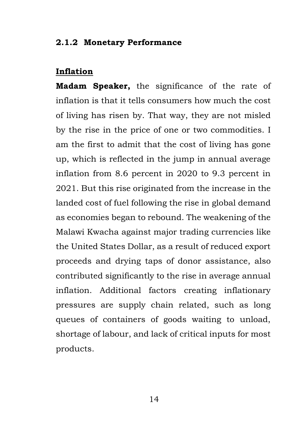## **2.1.2 Monetary Performance**

# **Inflation**

**Madam Speaker,** the significance of the rate of inflation is that it tells consumers how much the cost of living has risen by. That way, they are not misled by the rise in the price of one or two commodities. I am the first to admit that the cost of living has gone up, which is reflected in the jump in annual average inflation from 8.6 percent in 2020 to 9.3 percent in 2021. But this rise originated from the increase in the landed cost of fuel following the rise in global demand as economies began to rebound. The weakening of the Malawi Kwacha against major trading currencies like the United States Dollar, as a result of reduced export proceeds and drying taps of donor assistance, also contributed significantly to the rise in average annual inflation. Additional factors creating inflationary pressures are supply chain related, such as long queues of containers of goods waiting to unload, shortage of labour, and lack of critical inputs for most products.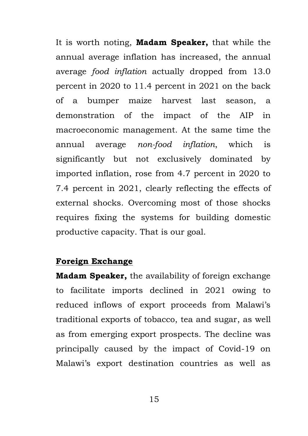It is worth noting, **Madam Speaker,** that while the annual average inflation has increased, the annual average *food inflation* actually dropped from 13.0 percent in 2020 to 11.4 percent in 2021 on the back of a bumper maize harvest last season, a demonstration of the impact of the AIP in macroeconomic management. At the same time the annual average *non-food inflation*, which is significantly but not exclusively dominated by imported inflation, rose from 4.7 percent in 2020 to 7.4 percent in 2021, clearly reflecting the effects of external shocks. Overcoming most of those shocks requires fixing the systems for building domestic productive capacity. That is our goal.

## **Foreign Exchange**

**Madam Speaker,** the availability of foreign exchange to facilitate imports declined in 2021 owing to reduced inflows of export proceeds from Malawi's traditional exports of tobacco, tea and sugar, as well as from emerging export prospects. The decline was principally caused by the impact of Covid-19 on Malawi's export destination countries as well as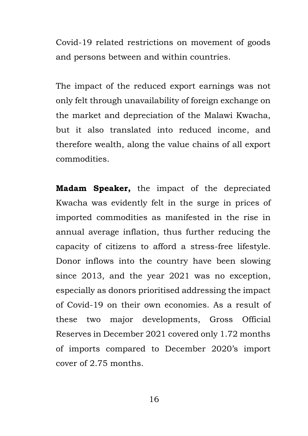Covid-19 related restrictions on movement of goods and persons between and within countries.

The impact of the reduced export earnings was not only felt through unavailability of foreign exchange on the market and depreciation of the Malawi Kwacha, but it also translated into reduced income, and therefore wealth, along the value chains of all export commodities.

**Madam Speaker,** the impact of the depreciated Kwacha was evidently felt in the surge in prices of imported commodities as manifested in the rise in annual average inflation, thus further reducing the capacity of citizens to afford a stress-free lifestyle. Donor inflows into the country have been slowing since 2013, and the year 2021 was no exception, especially as donors prioritised addressing the impact of Covid-19 on their own economies. As a result of these two major developments, Gross Official Reserves in December 2021 covered only 1.72 months of imports compared to December 2020's import cover of 2.75 months.

16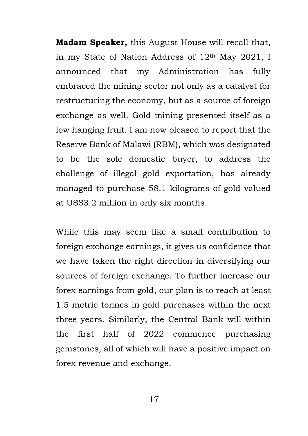**Madam Speaker,** this August House will recall that, in my State of Nation Address of 12th May 2021, I announced that my Administration has fully embraced the mining sector not only as a catalyst for restructuring the economy, but as a source of foreign exchange as well. Gold mining presented itself as a low hanging fruit. I am now pleased to report that the Reserve Bank of Malawi (RBM), which was designated to be the sole domestic buyer, to address the challenge of illegal gold exportation, has already managed to purchase 58.1 kilograms of gold valued at US\$3.2 million in only six months.

While this may seem like a small contribution to foreign exchange earnings, it gives us confidence that we have taken the right direction in diversifying our sources of foreign exchange. To further increase our forex earnings from gold, our plan is to reach at least 1.5 metric tonnes in gold purchases within the next three years. Similarly, the Central Bank will within the first half of 2022 commence purchasing gemstones, all of which will have a positive impact on forex revenue and exchange.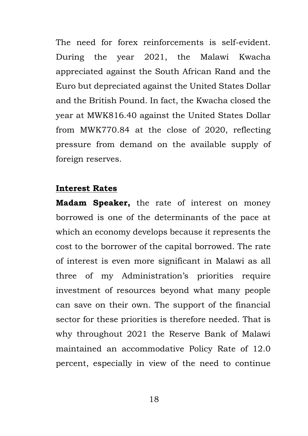The need for forex reinforcements is self-evident. During the year 2021, the Malawi Kwacha appreciated against the South African Rand and the Euro but depreciated against the United States Dollar and the British Pound. In fact, the Kwacha closed the year at MWK816.40 against the United States Dollar from MWK770.84 at the close of 2020, reflecting pressure from demand on the available supply of foreign reserves.

#### **Interest Rates**

**Madam Speaker,** the rate of interest on money borrowed is one of the determinants of the pace at which an economy develops because it represents the cost to the borrower of the capital borrowed. The rate of interest is even more significant in Malawi as all three of my Administration's priorities require investment of resources beyond what many people can save on their own. The support of the financial sector for these priorities is therefore needed. That is why throughout 2021 the Reserve Bank of Malawi maintained an accommodative Policy Rate of 12.0 percent, especially in view of the need to continue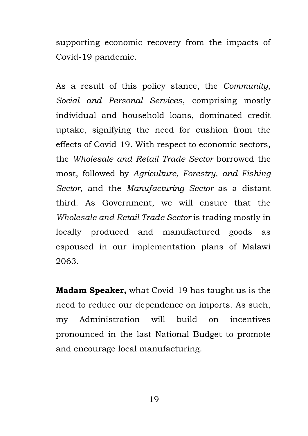supporting economic recovery from the impacts of Covid-19 pandemic.

As a result of this policy stance, the *Community, Social and Personal Services*, comprising mostly individual and household loans, dominated credit uptake, signifying the need for cushion from the effects of Covid-19. With respect to economic sectors, the *Wholesale and Retail Trade Sector* borrowed the most, followed by *Agriculture, Forestry, and Fishing Sector*, and the *Manufacturing Sector* as a distant third. As Government, we will ensure that the *Wholesale and Retail Trade Sector* is trading mostly in locally produced and manufactured goods as espoused in our implementation plans of Malawi 2063.

**Madam Speaker,** what Covid-19 has taught us is the need to reduce our dependence on imports. As such, my Administration will build on incentives pronounced in the last National Budget to promote and encourage local manufacturing.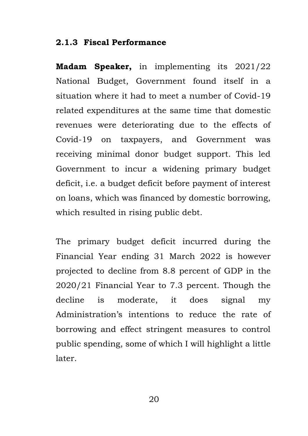#### **2.1.3 Fiscal Performance**

**Madam Speaker,** in implementing its 2021/22 National Budget, Government found itself in a situation where it had to meet a number of Covid-19 related expenditures at the same time that domestic revenues were deteriorating due to the effects of Covid-19 on taxpayers, and Government was receiving minimal donor budget support. This led Government to incur a widening primary budget deficit, i.e. a budget deficit before payment of interest on loans, which was financed by domestic borrowing, which resulted in rising public debt.

The primary budget deficit incurred during the Financial Year ending 31 March 2022 is however projected to decline from 8.8 percent of GDP in the 2020/21 Financial Year to 7.3 percent. Though the decline is moderate, it does signal my Administration's intentions to reduce the rate of borrowing and effect stringent measures to control public spending, some of which I will highlight a little later.

20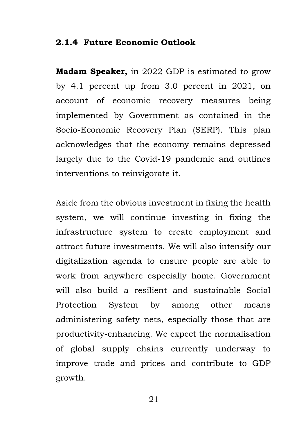#### **2.1.4 Future Economic Outlook**

**Madam Speaker,** in 2022 GDP is estimated to grow by 4.1 percent up from 3.0 percent in 2021, on account of economic recovery measures being implemented by Government as contained in the Socio-Economic Recovery Plan (SERP). This plan acknowledges that the economy remains depressed largely due to the Covid-19 pandemic and outlines interventions to reinvigorate it.

Aside from the obvious investment in fixing the health system, we will continue investing in fixing the infrastructure system to create employment and attract future investments. We will also intensify our digitalization agenda to ensure people are able to work from anywhere especially home. Government will also build a resilient and sustainable Social Protection System by among other means administering safety nets, especially those that are productivity-enhancing. We expect the normalisation of global supply chains currently underway to improve trade and prices and contribute to GDP growth.

21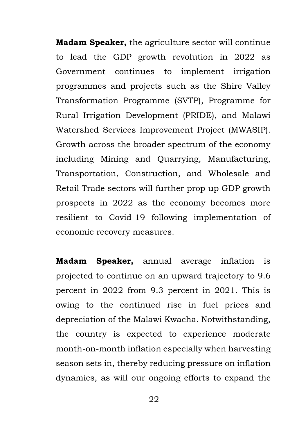**Madam Speaker,** the agriculture sector will continue to lead the GDP growth revolution in 2022 as Government continues to implement irrigation programmes and projects such as the Shire Valley Transformation Programme (SVTP), Programme for Rural Irrigation Development (PRIDE), and Malawi Watershed Services Improvement Project (MWASIP). Growth across the broader spectrum of the economy including Mining and Quarrying, Manufacturing, Transportation, Construction, and Wholesale and Retail Trade sectors will further prop up GDP growth prospects in 2022 as the economy becomes more resilient to Covid-19 following implementation of economic recovery measures.

**Madam Speaker,** annual average inflation is projected to continue on an upward trajectory to 9.6 percent in 2022 from 9.3 percent in 2021. This is owing to the continued rise in fuel prices and depreciation of the Malawi Kwacha. Notwithstanding, the country is expected to experience moderate month-on-month inflation especially when harvesting season sets in, thereby reducing pressure on inflation dynamics, as will our ongoing efforts to expand the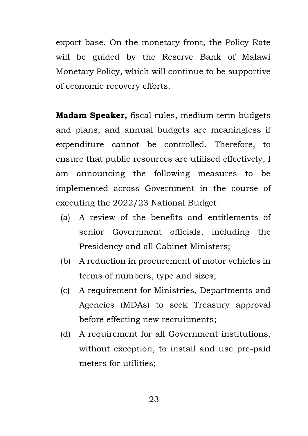export base. On the monetary front, the Policy Rate will be guided by the Reserve Bank of Malawi Monetary Policy, which will continue to be supportive of economic recovery efforts.

**Madam Speaker,** fiscal rules, medium term budgets and plans, and annual budgets are meaningless if expenditure cannot be controlled. Therefore, to ensure that public resources are utilised effectively, I am announcing the following measures to be implemented across Government in the course of executing the 2022/23 National Budget:

- (a) A review of the benefits and entitlements of senior Government officials, including the Presidency and all Cabinet Ministers;
- (b) A reduction in procurement of motor vehicles in terms of numbers, type and sizes;
- (c) A requirement for Ministries, Departments and Agencies (MDAs) to seek Treasury approval before effecting new recruitments;
- (d) A requirement for all Government institutions, without exception, to install and use pre-paid meters for utilities;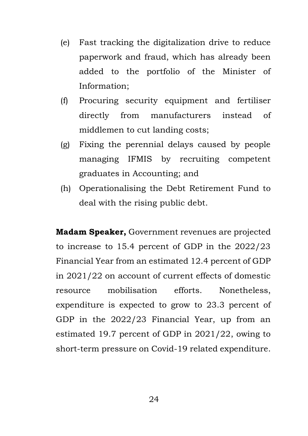- (e) Fast tracking the digitalization drive to reduce paperwork and fraud, which has already been added to the portfolio of the Minister of Information;
- (f) Procuring security equipment and fertiliser directly from manufacturers instead of middlemen to cut landing costs;
- (g) Fixing the perennial delays caused by people managing IFMIS by recruiting competent graduates in Accounting; and
- (h) Operationalising the Debt Retirement Fund to deal with the rising public debt.

**Madam Speaker,** Government revenues are projected to increase to 15.4 percent of GDP in the 2022/23 Financial Year from an estimated 12.4 percent of GDP in 2021/22 on account of current effects of domestic resource mobilisation efforts. Nonetheless, expenditure is expected to grow to 23.3 percent of GDP in the 2022/23 Financial Year, up from an estimated 19.7 percent of GDP in 2021/22, owing to short-term pressure on Covid-19 related expenditure.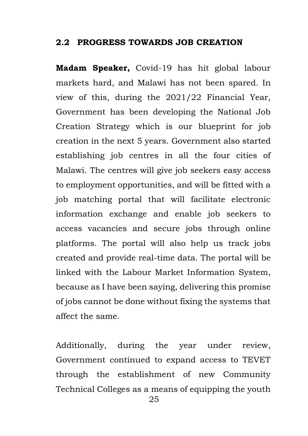### **2.2 PROGRESS TOWARDS JOB CREATION**

**Madam Speaker,** Covid-19 has hit global labour markets hard, and Malawi has not been spared. In view of this, during the 2021/22 Financial Year, Government has been developing the National Job Creation Strategy which is our blueprint for job creation in the next 5 years. Government also started establishing job centres in all the four cities of Malawi. The centres will give job seekers easy access to employment opportunities, and will be fitted with a job matching portal that will facilitate electronic information exchange and enable job seekers to access vacancies and secure jobs through online platforms. The portal will also help us track jobs created and provide real-time data. The portal will be linked with the Labour Market Information System, because as I have been saying, delivering this promise of jobs cannot be done without fixing the systems that affect the same.

Additionally, during the year under review, Government continued to expand access to TEVET through the establishment of new Community Technical Colleges as a means of equipping the youth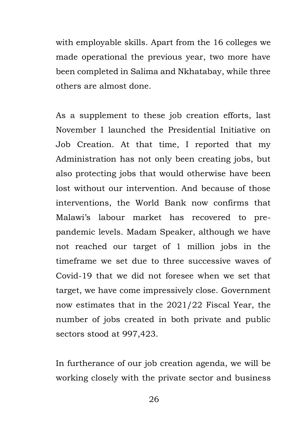with employable skills. Apart from the 16 colleges we made operational the previous year, two more have been completed in Salima and Nkhatabay, while three others are almost done.

As a supplement to these job creation efforts, last November I launched the Presidential Initiative on Job Creation. At that time, I reported that my Administration has not only been creating jobs, but also protecting jobs that would otherwise have been lost without our intervention. And because of those interventions, the World Bank now confirms that Malawi's labour market has recovered to prepandemic levels. Madam Speaker, although we have not reached our target of 1 million jobs in the timeframe we set due to three successive waves of Covid-19 that we did not foresee when we set that target, we have come impressively close. Government now estimates that in the 2021/22 Fiscal Year, the number of jobs created in both private and public sectors stood at 997,423.

In furtherance of our job creation agenda, we will be working closely with the private sector and business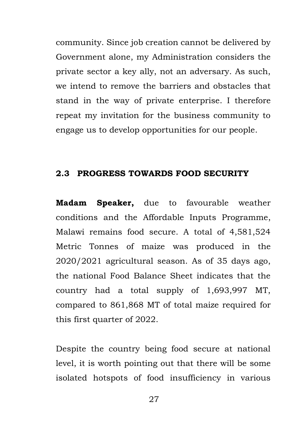community. Since job creation cannot be delivered by Government alone, my Administration considers the private sector a key ally, not an adversary. As such, we intend to remove the barriers and obstacles that stand in the way of private enterprise. I therefore repeat my invitation for the business community to engage us to develop opportunities for our people.

#### **2.3 PROGRESS TOWARDS FOOD SECURITY**

**Madam Speaker,** due to favourable weather conditions and the Affordable Inputs Programme, Malawi remains food secure. A total of 4,581,524 Metric Tonnes of maize was produced in the 2020/2021 agricultural season. As of 35 days ago, the national Food Balance Sheet indicates that the country had a total supply of 1,693,997 MT, compared to 861,868 MT of total maize required for this first quarter of 2022.

Despite the country being food secure at national level, it is worth pointing out that there will be some isolated hotspots of food insufficiency in various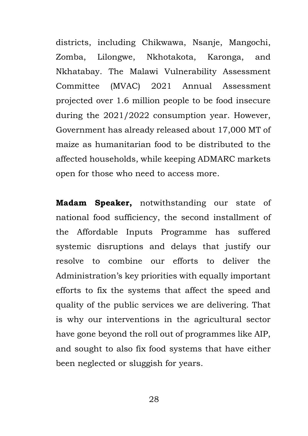districts, including Chikwawa, Nsanje, Mangochi, Zomba, Lilongwe, Nkhotakota, Karonga, and Nkhatabay. The Malawi Vulnerability Assessment Committee (MVAC) 2021 Annual Assessment projected over 1.6 million people to be food insecure during the 2021/2022 consumption year. However, Government has already released about 17,000 MT of maize as humanitarian food to be distributed to the affected households, while keeping ADMARC markets open for those who need to access more.

**Madam Speaker,** notwithstanding our state of national food sufficiency, the second installment of the Affordable Inputs Programme has suffered systemic disruptions and delays that justify our resolve to combine our efforts to deliver the Administration's key priorities with equally important efforts to fix the systems that affect the speed and quality of the public services we are delivering. That is why our interventions in the agricultural sector have gone beyond the roll out of programmes like AIP, and sought to also fix food systems that have either been neglected or sluggish for years.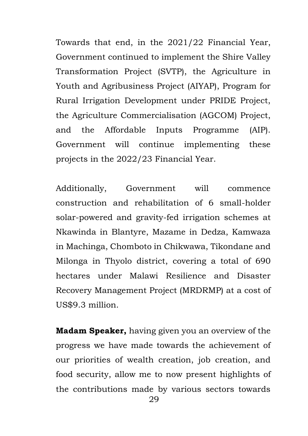Towards that end, in the 2021/22 Financial Year, Government continued to implement the Shire Valley Transformation Project (SVTP), the Agriculture in Youth and Agribusiness Project (AIYAP), Program for Rural Irrigation Development under PRIDE Project, the Agriculture Commercialisation (AGCOM) Project, and the Affordable Inputs Programme (AIP). Government will continue implementing these projects in the 2022/23 Financial Year.

Additionally, Government will commence construction and rehabilitation of 6 small-holder solar-powered and gravity-fed irrigation schemes at Nkawinda in Blantyre, Mazame in Dedza, Kamwaza in Machinga, Chomboto in Chikwawa, Tikondane and Milonga in Thyolo district, covering a total of 690 hectares under Malawi Resilience and Disaster Recovery Management Project (MRDRMP) at a cost of US\$9.3 million.

**Madam Speaker,** having given you an overview of the progress we have made towards the achievement of our priorities of wealth creation, job creation, and food security, allow me to now present highlights of the contributions made by various sectors towards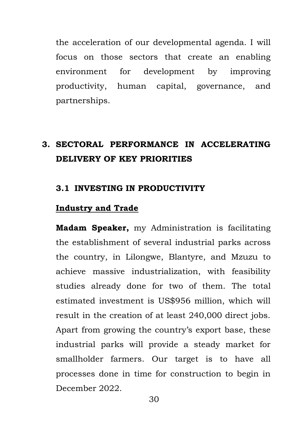the acceleration of our developmental agenda. I will focus on those sectors that create an enabling environment for development by improving productivity, human capital, governance, and partnerships.

# **3. SECTORAL PERFORMANCE IN ACCELERATING DELIVERY OF KEY PRIORITIES**

#### **3.1 INVESTING IN PRODUCTIVITY**

# **Industry and Trade**

**Madam Speaker,** my Administration is facilitating the establishment of several industrial parks across the country, in Lilongwe, Blantyre, and Mzuzu to achieve massive industrialization, with feasibility studies already done for two of them. The total estimated investment is US\$956 million, which will result in the creation of at least 240,000 direct jobs. Apart from growing the country's export base, these industrial parks will provide a steady market for smallholder farmers. Our target is to have all processes done in time for construction to begin in December 2022.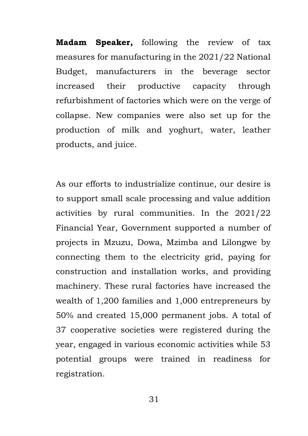**Madam Speaker,** following the review of tax measures for manufacturing in the 2021/22 National Budget, manufacturers in the beverage sector increased their productive capacity through refurbishment of factories which were on the verge of collapse. New companies were also set up for the production of milk and yoghurt, water, leather products, and juice.

As our efforts to industrialize continue, our desire is to support small scale processing and value addition activities by rural communities. In the 2021/22 Financial Year, Government supported a number of projects in Mzuzu, Dowa, Mzimba and Lilongwe by connecting them to the electricity grid, paying for construction and installation works, and providing machinery. These rural factories have increased the wealth of 1,200 families and 1,000 entrepreneurs by 50% and created 15,000 permanent jobs. A total of 37 cooperative societies were registered during the year, engaged in various economic activities while 53 potential groups were trained in readiness for registration.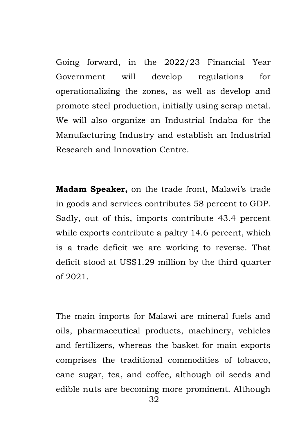Going forward, in the 2022/23 Financial Year Government will develop regulations for operationalizing the zones, as well as develop and promote steel production, initially using scrap metal. We will also organize an Industrial Indaba for the Manufacturing Industry and establish an Industrial Research and Innovation Centre.

**Madam Speaker,** on the trade front, Malawi's trade in goods and services contributes 58 percent to GDP. Sadly, out of this, imports contribute 43.4 percent while exports contribute a paltry 14.6 percent, which is a trade deficit we are working to reverse. That deficit stood at US\$1.29 million by the third quarter of 2021.

The main imports for Malawi are mineral fuels and oils, pharmaceutical products, machinery, vehicles and fertilizers, whereas the basket for main exports comprises the traditional commodities of tobacco, cane sugar, tea, and coffee, although oil seeds and edible nuts are becoming more prominent. Although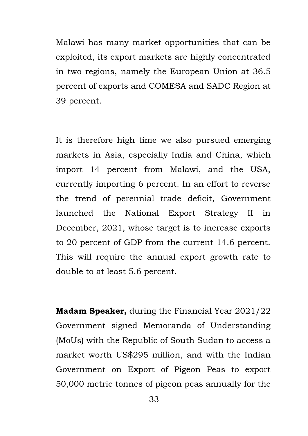Malawi has many market opportunities that can be exploited, its export markets are highly concentrated in two regions, namely the European Union at 36.5 percent of exports and COMESA and SADC Region at 39 percent.

It is therefore high time we also pursued emerging markets in Asia, especially India and China, which import 14 percent from Malawi, and the USA, currently importing 6 percent. In an effort to reverse the trend of perennial trade deficit, Government launched the National Export Strategy II in December, 2021, whose target is to increase exports to 20 percent of GDP from the current 14.6 percent. This will require the annual export growth rate to double to at least 5.6 percent.

**Madam Speaker,** during the Financial Year 2021/22 Government signed Memoranda of Understanding (MoUs) with the Republic of South Sudan to access a market worth US\$295 million, and with the Indian Government on Export of Pigeon Peas to export 50,000 metric tonnes of pigeon peas annually for the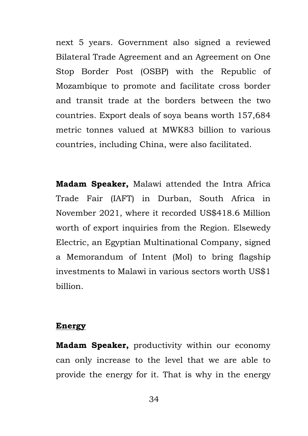next 5 years. Government also signed a reviewed Bilateral Trade Agreement and an Agreement on One Stop Border Post (OSBP) with the Republic of Mozambique to promote and facilitate cross border and transit trade at the borders between the two countries. Export deals of soya beans worth 157,684 metric tonnes valued at MWK83 billion to various countries, including China, were also facilitated.

**Madam Speaker,** Malawi attended the Intra Africa Trade Fair (IAFT) in Durban, South Africa in November 2021, where it recorded US\$418.6 Million worth of export inquiries from the Region. Elsewedy Electric, an Egyptian Multinational Company, signed a Memorandum of Intent (MoI) to bring flagship investments to Malawi in various sectors worth US\$1 billion.

#### **Energy**

**Madam Speaker,** productivity within our economy can only increase to the level that we are able to provide the energy for it. That is why in the energy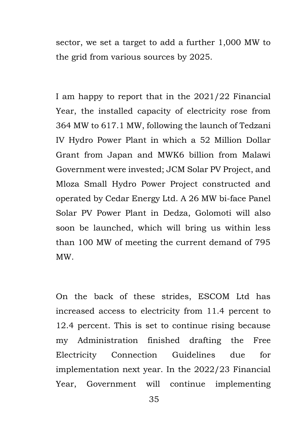sector, we set a target to add a further 1,000 MW to the grid from various sources by 2025.

I am happy to report that in the 2021/22 Financial Year, the installed capacity of electricity rose from 364 MW to 617.1 MW, following the launch of Tedzani IV Hydro Power Plant in which a 52 Million Dollar Grant from Japan and MWK6 billion from Malawi Government were invested; JCM Solar PV Project, and Mloza Small Hydro Power Project constructed and operated by Cedar Energy Ltd. A 26 MW bi-face Panel Solar PV Power Plant in Dedza, Golomoti will also soon be launched, which will bring us within less than 100 MW of meeting the current demand of 795 MW.

On the back of these strides, ESCOM Ltd has increased access to electricity from 11.4 percent to 12.4 percent. This is set to continue rising because my Administration finished drafting the Free Electricity Connection Guidelines due for implementation next year. In the 2022/23 Financial Year, Government will continue implementing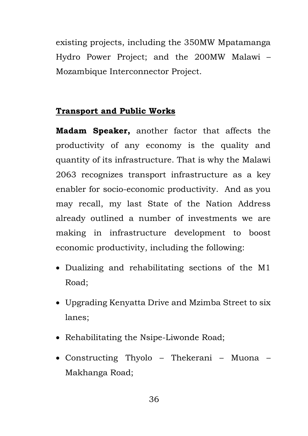existing projects, including the 350MW Mpatamanga Hydro Power Project; and the 200MW Malawi – Mozambique Interconnector Project.

# **Transport and Public Works**

**Madam Speaker,** another factor that affects the productivity of any economy is the quality and quantity of its infrastructure. That is why the Malawi 2063 recognizes transport infrastructure as a key enabler for socio-economic productivity. And as you may recall, my last State of the Nation Address already outlined a number of investments we are making in infrastructure development to boost economic productivity, including the following:

- Dualizing and rehabilitating sections of the M1 Road;
- Upgrading Kenyatta Drive and Mzimba Street to six lanes;
- Rehabilitating the Nsipe-Liwonde Road;
- Constructing Thyolo Thekerani Muona Makhanga Road;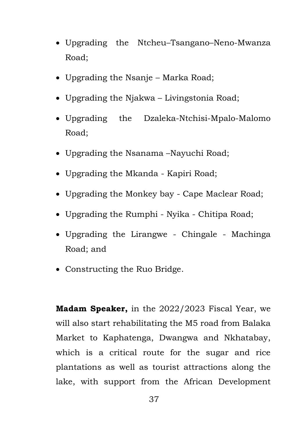- Upgrading the Ntcheu–Tsangano–Neno-Mwanza Road;
- Upgrading the Nsanje Marka Road;
- Upgrading the Njakwa Livingstonia Road;
- Upgrading the Dzaleka-Ntchisi-Mpalo-Malomo Road;
- Upgrading the Nsanama –Nayuchi Road;
- Upgrading the Mkanda Kapiri Road;
- Upgrading the Monkey bay Cape Maclear Road;
- Upgrading the Rumphi Nyika Chitipa Road;
- Upgrading the Lirangwe Chingale Machinga Road; and
- Constructing the Ruo Bridge.

**Madam Speaker,** in the 2022/2023 Fiscal Year, we will also start rehabilitating the M5 road from Balaka Market to Kaphatenga, Dwangwa and Nkhatabay, which is a critical route for the sugar and rice plantations as well as tourist attractions along the lake, with support from the African Development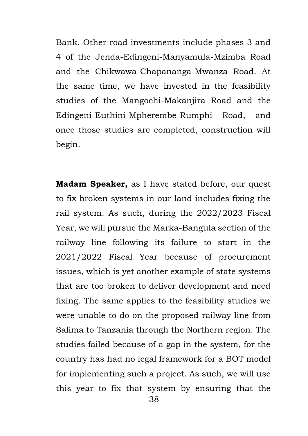Bank. Other road investments include phases 3 and 4 of the Jenda-Edingeni-Manyamula-Mzimba Road and the Chikwawa-Chapananga-Mwanza Road. At the same time, we have invested in the feasibility studies of the Mangochi-Makanjira Road and the Edingeni-Euthini-Mpherembe-Rumphi Road, and once those studies are completed, construction will begin.

**Madam Speaker,** as I have stated before, our quest to fix broken systems in our land includes fixing the rail system. As such, during the 2022/2023 Fiscal Year, we will pursue the Marka-Bangula section of the railway line following its failure to start in the 2021/2022 Fiscal Year because of procurement issues, which is yet another example of state systems that are too broken to deliver development and need fixing. The same applies to the feasibility studies we were unable to do on the proposed railway line from Salima to Tanzania through the Northern region. The studies failed because of a gap in the system, for the country has had no legal framework for a BOT model for implementing such a project. As such, we will use this year to fix that system by ensuring that the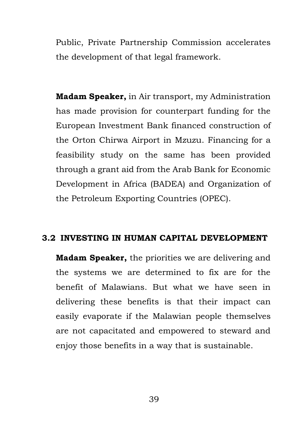Public, Private Partnership Commission accelerates the development of that legal framework.

**Madam Speaker,** in Air transport, my Administration has made provision for counterpart funding for the European Investment Bank financed construction of the Orton Chirwa Airport in Mzuzu. Financing for a feasibility study on the same has been provided through a grant aid from the Arab Bank for Economic Development in Africa (BADEA) and Organization of the Petroleum Exporting Countries (OPEC).

## **3.2 INVESTING IN HUMAN CAPITAL DEVELOPMENT**

**Madam Speaker,** the priorities we are delivering and the systems we are determined to fix are for the benefit of Malawians. But what we have seen in delivering these benefits is that their impact can easily evaporate if the Malawian people themselves are not capacitated and empowered to steward and enjoy those benefits in a way that is sustainable.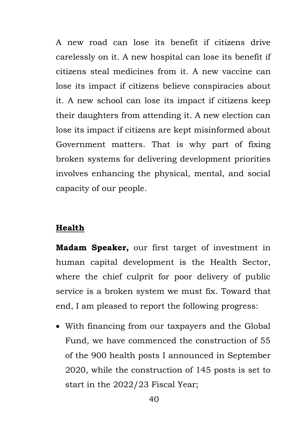A new road can lose its benefit if citizens drive carelessly on it. A new hospital can lose its benefit if citizens steal medicines from it. A new vaccine can lose its impact if citizens believe conspiracies about it. A new school can lose its impact if citizens keep their daughters from attending it. A new election can lose its impact if citizens are kept misinformed about Government matters. That is why part of fixing broken systems for delivering development priorities involves enhancing the physical, mental, and social capacity of our people.

# **Health**

**Madam Speaker,** our first target of investment in human capital development is the Health Sector, where the chief culprit for poor delivery of public service is a broken system we must fix. Toward that end, I am pleased to report the following progress:

 With financing from our taxpayers and the Global Fund, we have commenced the construction of 55 of the 900 health posts I announced in September 2020, while the construction of 145 posts is set to start in the 2022/23 Fiscal Year;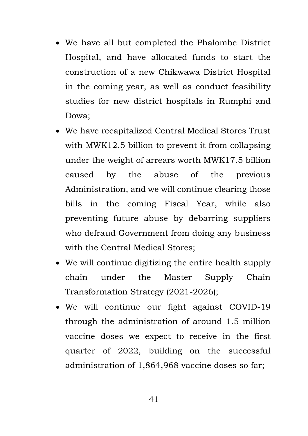- We have all but completed the Phalombe District Hospital, and have allocated funds to start the construction of a new Chikwawa District Hospital in the coming year, as well as conduct feasibility studies for new district hospitals in Rumphi and Dowa;
- We have recapitalized Central Medical Stores Trust with MWK12.5 billion to prevent it from collapsing under the weight of arrears worth MWK17.5 billion caused by the abuse of the previous Administration, and we will continue clearing those bills in the coming Fiscal Year, while also preventing future abuse by debarring suppliers who defraud Government from doing any business with the Central Medical Stores;
- We will continue digitizing the entire health supply chain under the Master Supply Chain Transformation Strategy (2021-2026);
- We will continue our fight against COVID-19 through the administration of around 1.5 million vaccine doses we expect to receive in the first quarter of 2022, building on the successful administration of 1,864,968 vaccine doses so far;

41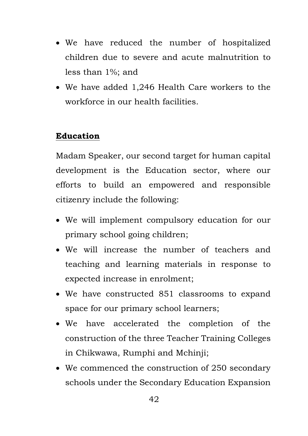- We have reduced the number of hospitalized children due to severe and acute malnutrition to less than 1%; and
- We have added 1,246 Health Care workers to the workforce in our health facilities.

# **Education**

Madam Speaker, our second target for human capital development is the Education sector, where our efforts to build an empowered and responsible citizenry include the following:

- We will implement compulsory education for our primary school going children;
- We will increase the number of teachers and teaching and learning materials in response to expected increase in enrolment;
- We have constructed 851 classrooms to expand space for our primary school learners;
- We have accelerated the completion of the construction of the three Teacher Training Colleges in Chikwawa, Rumphi and Mchinji;
- We commenced the construction of 250 secondary schools under the Secondary Education Expansion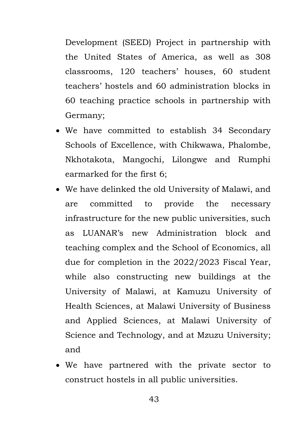Development (SEED) Project in partnership with the United States of America, as well as 308 classrooms, 120 teachers' houses, 60 student teachers' hostels and 60 administration blocks in 60 teaching practice schools in partnership with Germany;

- We have committed to establish 34 Secondary Schools of Excellence, with Chikwawa, Phalombe, Nkhotakota, Mangochi, Lilongwe and Rumphi earmarked for the first 6;
- We have delinked the old University of Malawi, and are committed to provide the necessary infrastructure for the new public universities, such as LUANAR's new Administration block and teaching complex and the School of Economics, all due for completion in the 2022/2023 Fiscal Year, while also constructing new buildings at the University of Malawi, at Kamuzu University of Health Sciences, at Malawi University of Business and Applied Sciences, at Malawi University of Science and Technology, and at Mzuzu University; and
- We have partnered with the private sector to construct hostels in all public universities.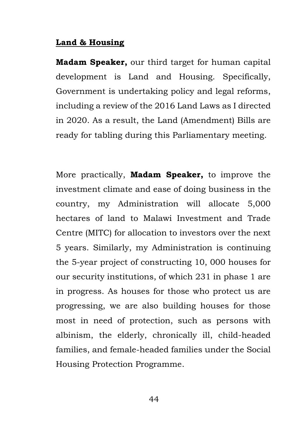## **Land & Housing**

**Madam Speaker,** our third target for human capital development is Land and Housing. Specifically, Government is undertaking policy and legal reforms, including a review of the 2016 Land Laws as I directed in 2020. As a result, the Land (Amendment) Bills are ready for tabling during this Parliamentary meeting.

More practically, **Madam Speaker,** to improve the investment climate and ease of doing business in the country, my Administration will allocate 5,000 hectares of land to Malawi Investment and Trade Centre (MITC) for allocation to investors over the next 5 years. Similarly, my Administration is continuing the 5-year project of constructing 10, 000 houses for our security institutions, of which 231 in phase 1 are in progress. As houses for those who protect us are progressing, we are also building houses for those most in need of protection, such as persons with albinism, the elderly, chronically ill, child-headed families, and female-headed families under the Social Housing Protection Programme.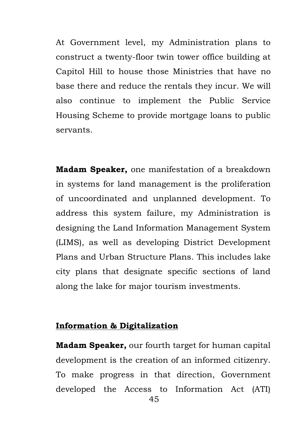At Government level, my Administration plans to construct a twenty-floor twin tower office building at Capitol Hill to house those Ministries that have no base there and reduce the rentals they incur. We will also continue to implement the Public Service Housing Scheme to provide mortgage loans to public servants.

**Madam Speaker,** one manifestation of a breakdown in systems for land management is the proliferation of uncoordinated and unplanned development. To address this system failure, my Administration is designing the Land Information Management System (LIMS), as well as developing District Development Plans and Urban Structure Plans. This includes lake city plans that designate specific sections of land along the lake for major tourism investments.

# **Information & Digitalization**

**Madam Speaker,** our fourth target for human capital development is the creation of an informed citizenry. To make progress in that direction, Government developed the Access to Information Act (ATI)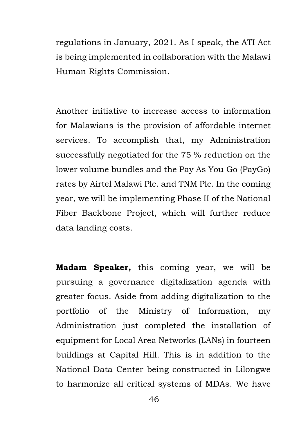regulations in January, 2021. As I speak, the ATI Act is being implemented in collaboration with the Malawi Human Rights Commission.

Another initiative to increase access to information for Malawians is the provision of affordable internet services. To accomplish that, my Administration successfully negotiated for the 75 % reduction on the lower volume bundles and the Pay As You Go (PayGo) rates by Airtel Malawi Plc. and TNM Plc. In the coming year, we will be implementing Phase II of the National Fiber Backbone Project, which will further reduce data landing costs.

**Madam Speaker,** this coming year, we will be pursuing a governance digitalization agenda with greater focus. Aside from adding digitalization to the portfolio of the Ministry of Information, my Administration just completed the installation of equipment for Local Area Networks (LANs) in fourteen buildings at Capital Hill. This is in addition to the National Data Center being constructed in Lilongwe to harmonize all critical systems of MDAs. We have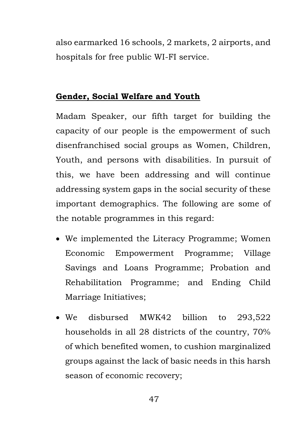also earmarked 16 schools, 2 markets, 2 airports, and hospitals for free public WI-FI service.

# **Gender, Social Welfare and Youth**

Madam Speaker, our fifth target for building the capacity of our people is the empowerment of such disenfranchised social groups as Women, Children, Youth, and persons with disabilities. In pursuit of this, we have been addressing and will continue addressing system gaps in the social security of these important demographics. The following are some of the notable programmes in this regard:

- We implemented the Literacy Programme; Women Economic Empowerment Programme; Village Savings and Loans Programme; Probation and Rehabilitation Programme; and Ending Child Marriage Initiatives;
- We disbursed MWK42 billion to 293,522 households in all 28 districts of the country, 70% of which benefited women, to cushion marginalized groups against the lack of basic needs in this harsh season of economic recovery;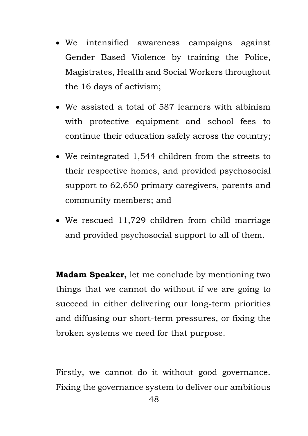- We intensified awareness campaigns against Gender Based Violence by training the Police, Magistrates, Health and Social Workers throughout the 16 days of activism;
- We assisted a total of 587 learners with albinism with protective equipment and school fees to continue their education safely across the country;
- We reintegrated 1,544 children from the streets to their respective homes, and provided psychosocial support to 62,650 primary caregivers, parents and community members; and
- We rescued 11,729 children from child marriage and provided psychosocial support to all of them.

**Madam Speaker,** let me conclude by mentioning two things that we cannot do without if we are going to succeed in either delivering our long-term priorities and diffusing our short-term pressures, or fixing the broken systems we need for that purpose.

Firstly, we cannot do it without good governance. Fixing the governance system to deliver our ambitious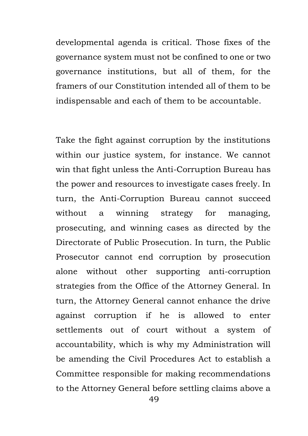developmental agenda is critical. Those fixes of the governance system must not be confined to one or two governance institutions, but all of them, for the framers of our Constitution intended all of them to be indispensable and each of them to be accountable.

Take the fight against corruption by the institutions within our justice system, for instance. We cannot win that fight unless the Anti-Corruption Bureau has the power and resources to investigate cases freely. In turn, the Anti-Corruption Bureau cannot succeed without a winning strategy for managing, prosecuting, and winning cases as directed by the Directorate of Public Prosecution. In turn, the Public Prosecutor cannot end corruption by prosecution alone without other supporting anti-corruption strategies from the Office of the Attorney General. In turn, the Attorney General cannot enhance the drive against corruption if he is allowed to enter settlements out of court without a system of accountability, which is why my Administration will be amending the Civil Procedures Act to establish a Committee responsible for making recommendations to the Attorney General before settling claims above a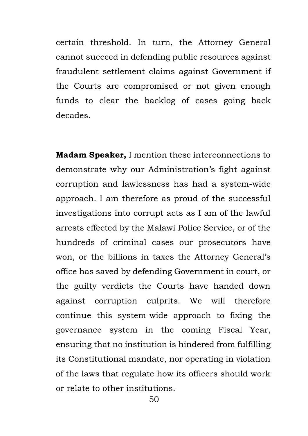certain threshold. In turn, the Attorney General cannot succeed in defending public resources against fraudulent settlement claims against Government if the Courts are compromised or not given enough funds to clear the backlog of cases going back decades.

**Madam Speaker,** I mention these interconnections to demonstrate why our Administration's fight against corruption and lawlessness has had a system-wide approach. I am therefore as proud of the successful investigations into corrupt acts as I am of the lawful arrests effected by the Malawi Police Service, or of the hundreds of criminal cases our prosecutors have won, or the billions in taxes the Attorney General's office has saved by defending Government in court, or the guilty verdicts the Courts have handed down against corruption culprits. We will therefore continue this system-wide approach to fixing the governance system in the coming Fiscal Year, ensuring that no institution is hindered from fulfilling its Constitutional mandate, nor operating in violation of the laws that regulate how its officers should work or relate to other institutions.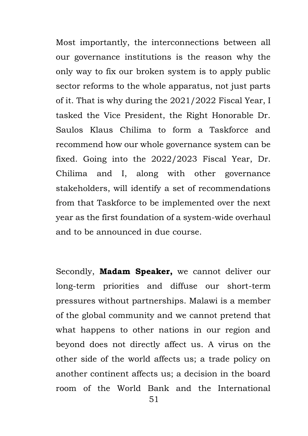Most importantly, the interconnections between all our governance institutions is the reason why the only way to fix our broken system is to apply public sector reforms to the whole apparatus, not just parts of it. That is why during the 2021/2022 Fiscal Year, I tasked the Vice President, the Right Honorable Dr. Saulos Klaus Chilima to form a Taskforce and recommend how our whole governance system can be fixed. Going into the 2022/2023 Fiscal Year, Dr. Chilima and I, along with other governance stakeholders, will identify a set of recommendations from that Taskforce to be implemented over the next year as the first foundation of a system-wide overhaul and to be announced in due course.

Secondly, **Madam Speaker,** we cannot deliver our long-term priorities and diffuse our short-term pressures without partnerships. Malawi is a member of the global community and we cannot pretend that what happens to other nations in our region and beyond does not directly affect us. A virus on the other side of the world affects us; a trade policy on another continent affects us; a decision in the board room of the World Bank and the International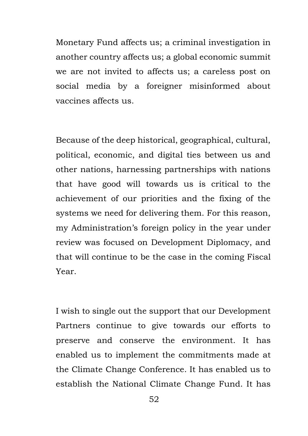Monetary Fund affects us; a criminal investigation in another country affects us; a global economic summit we are not invited to affects us; a careless post on social media by a foreigner misinformed about vaccines affects us.

Because of the deep historical, geographical, cultural, political, economic, and digital ties between us and other nations, harnessing partnerships with nations that have good will towards us is critical to the achievement of our priorities and the fixing of the systems we need for delivering them. For this reason, my Administration's foreign policy in the year under review was focused on Development Diplomacy, and that will continue to be the case in the coming Fiscal Year.

I wish to single out the support that our Development Partners continue to give towards our efforts to preserve and conserve the environment. It has enabled us to implement the commitments made at the Climate Change Conference. It has enabled us to establish the National Climate Change Fund. It has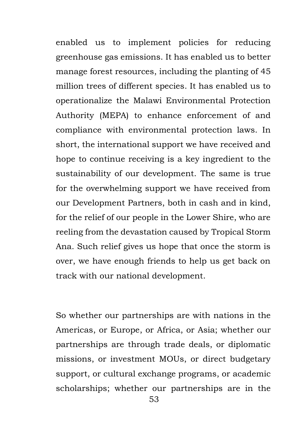enabled us to implement policies for reducing greenhouse gas emissions. It has enabled us to better manage forest resources, including the planting of 45 million trees of different species. It has enabled us to operationalize the Malawi Environmental Protection Authority (MEPA) to enhance enforcement of and compliance with environmental protection laws. In short, the international support we have received and hope to continue receiving is a key ingredient to the sustainability of our development. The same is true for the overwhelming support we have received from our Development Partners, both in cash and in kind, for the relief of our people in the Lower Shire, who are reeling from the devastation caused by Tropical Storm Ana. Such relief gives us hope that once the storm is over, we have enough friends to help us get back on track with our national development.

So whether our partnerships are with nations in the Americas, or Europe, or Africa, or Asia; whether our partnerships are through trade deals, or diplomatic missions, or investment MOUs, or direct budgetary support, or cultural exchange programs, or academic scholarships; whether our partnerships are in the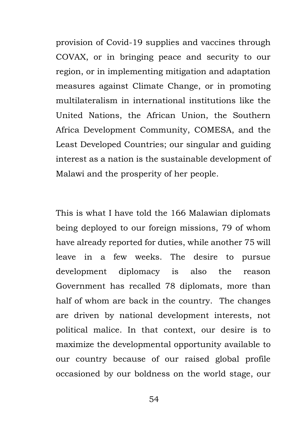provision of Covid-19 supplies and vaccines through COVAX, or in bringing peace and security to our region, or in implementing mitigation and adaptation measures against Climate Change, or in promoting multilateralism in international institutions like the United Nations, the African Union, the Southern Africa Development Community, COMESA, and the Least Developed Countries; our singular and guiding interest as a nation is the sustainable development of Malawi and the prosperity of her people.

This is what I have told the 166 Malawian diplomats being deployed to our foreign missions, 79 of whom have already reported for duties, while another 75 will leave in a few weeks. The desire to pursue development diplomacy is also the reason Government has recalled 78 diplomats, more than half of whom are back in the country. The changes are driven by national development interests, not political malice. In that context, our desire is to maximize the developmental opportunity available to our country because of our raised global profile occasioned by our boldness on the world stage, our